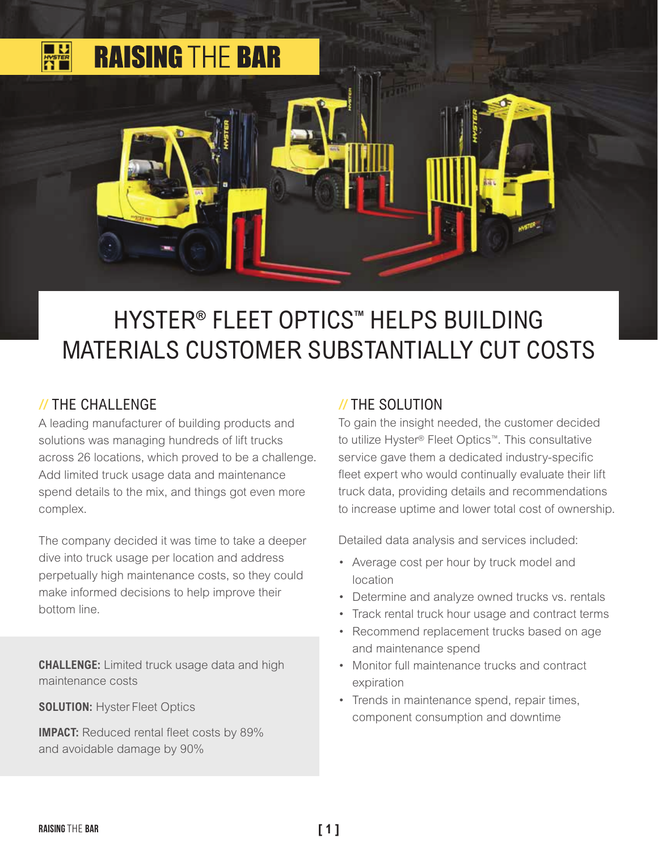

# HYSTER**®** FLEET OPTICS™ HELPS BUILDING MATERIALS CUSTOMER SUBSTANTIALLY CUT COSTS

#### // THE CHALLENGE

A leading manufacturer of building products and solutions was managing hundreds of lift trucks across 26 locations, which proved to be a challenge. Add limited truck usage data and maintenance spend details to the mix, and things got even more complex.

The company decided it was time to take a deeper dive into truck usage per location and address perpetually high maintenance costs, so they could make informed decisions to help improve their bottom line.

**CHALLENGE:** Limited truck usage data and high maintenance costs

**SOLUTION: Hyster Fleet Optics** 

**IMPACT:** Reduced rental fleet costs by 89% and avoidable damage by 90%

#### // THE SOLUTION

To gain the insight needed, the customer decided to utilize Hyster® Fleet Optics™. This consultative service gave them a dedicated industry-specific fleet expert who would continually evaluate their lift truck data, providing details and recommendations to increase uptime and lower total cost of ownership.

Detailed data analysis and services included:

- Average cost per hour by truck model and location
- Determine and analyze owned trucks vs. rentals
- Track rental truck hour usage and contract terms
- Recommend replacement trucks based on age and maintenance spend
- Monitor full maintenance trucks and contract expiration
- Trends in maintenance spend, repair times, component consumption and downtime